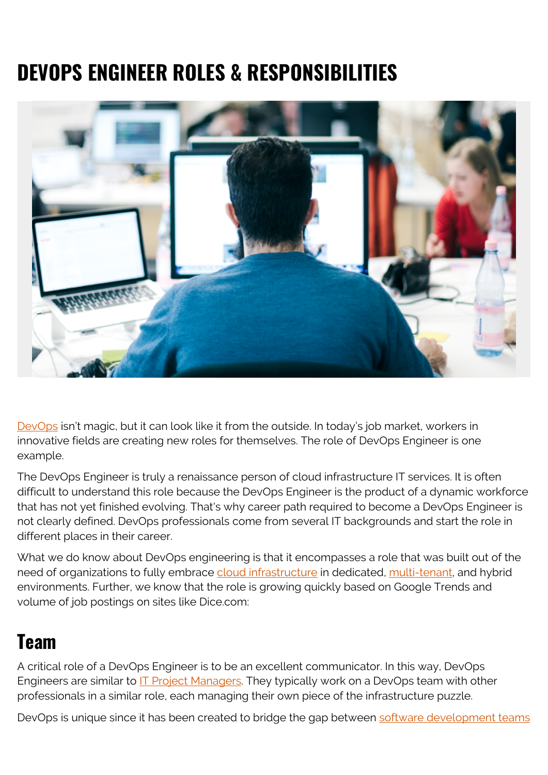# **DEVOPS ENGINEER ROLES & RESPONSIBILITIES**



[DevOps](https://blogs.bmc.com/blogs/devops-basics-introduction/) isn't magic, but it can look like it from the outside. In today's job market, workers in innovative fields are creating new roles for themselves. The role of DevOps Engineer is one example.

The DevOps Engineer is truly a renaissance person of cloud infrastructure IT services. It is often difficult to understand this role because the DevOps Engineer is the product of a dynamic workforce that has not yet finished evolving. That's why career path required to become a DevOps Engineer is not clearly defined. DevOps professionals come from several IT backgrounds and start the role in different places in their career.

What we do know about DevOps engineering is that it encompasses a role that was built out of the need of organizations to fully embrace [cloud infrastructure](https://blogs.bmc.com/blogs/cloud-infrastructure/) in dedicated, [multi-tenant,](https://blogs.bmc.com/blogs/single-tenant-vs-multi-tenant/) and hybrid environments. Further, we know that the role is growing quickly based on Google Trends and volume of job postings on sites like Dice.com:

#### **Team**

A critical role of a DevOps Engineer is to be an excellent communicator. In this way, DevOps Engineers are similar to [IT Project Managers](https://blogs.bmc.com/blogs/project-management-process-templates-best-practices/). They typically work on a DevOps team with other professionals in a similar role, each managing their own piece of the infrastructure puzzle.

DevOps is unique since it has been created to bridge the gap between [software development teams](https://blogs.bmc.com/blogs/it-teams/)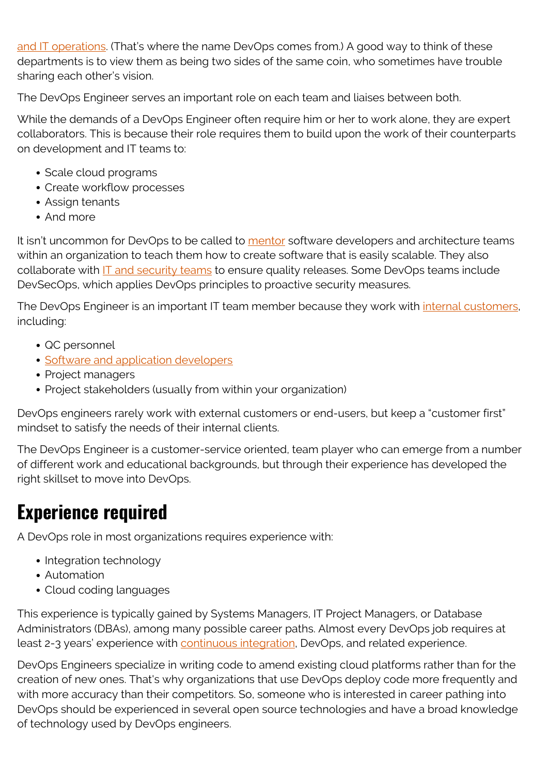[and IT operations](https://blogs.bmc.com/blogs/it-teams/). (That's where the name DevOps comes from.) A good way to think of these departments is to view them as being two sides of the same coin, who sometimes have trouble sharing each other's vision.

The DevOps Engineer serves an important role on each team and liaises between both.

While the demands of a DevOps Engineer often require him or her to work alone, they are expert collaborators. This is because their role requires them to build upon the work of their counterparts on development and IT teams to:

- Scale cloud programs
- Create workflow processes
- Assign tenants
- And more

It isn't uncommon for DevOps to be called to [mentor](https://blogs.bmc.com/blogs/mentoring-an-enriching-alliance/) software developers and architecture teams within an organization to teach them how to create software that is easily scalable. They also collaborate with [IT and security teams](https://blogs.bmc.com/blogs/secops-roles/) to ensure quality releases. Some DevOps teams include DevSecOps, which applies DevOps principles to proactive security measures.

The DevOps Engineer is an important IT team member because they work with *internal customers*, including:

- QC personnel
- [Software and application developers](https://blogs.bmc.com/blogs/application-developer-roles-responsibilities/)
- Project managers
- Project stakeholders (usually from within your organization)

DevOps engineers rarely work with external customers or end-users, but keep a "customer first" mindset to satisfy the needs of their internal clients.

The DevOps Engineer is a customer-service oriented, team player who can emerge from a number of different work and educational backgrounds, but through their experience has developed the right skillset to move into DevOps.

## **Experience required**

A DevOps role in most organizations requires experience with:

- Integration technology
- Automation
- Cloud coding languages

This experience is typically gained by Systems Managers, IT Project Managers, or Database Administrators (DBAs), among many possible career paths. Almost every DevOps job requires at least 2-3 years' experience with [continuous integration,](https://blogs.bmc.com/blogs/deployment-pipeline/) DevOps, and related experience.

DevOps Engineers specialize in writing code to amend existing cloud platforms rather than for the creation of new ones. That's why organizations that use DevOps deploy code more frequently and with more accuracy than their competitors. So, someone who is interested in career pathing into DevOps should be experienced in several open source technologies and have a broad knowledge of technology used by DevOps engineers.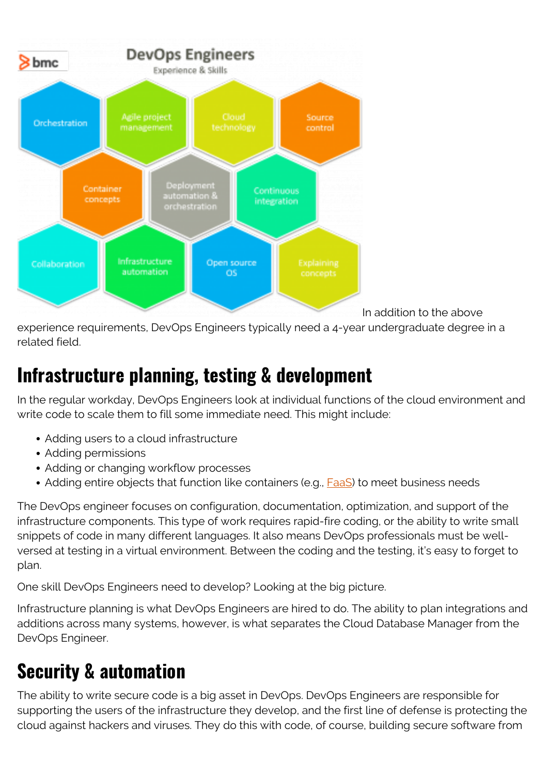

In addition to the above

experience requirements, DevOps Engineers typically need a 4-year undergraduate degree in a related field.

### **Infrastructure planning, testing & development**

In the regular workday, DevOps Engineers look at individual functions of the cloud environment and write code to scale them to fill some immediate need. This might include:

- Adding users to a cloud infrastructure
- Adding permissions
- Adding or changing workflow processes
- Adding entire objects that function like containers (e.g., [FaaS\)](https://blogs.bmc.com/blogs/faas-function-as-a-service/) to meet business needs

The DevOps engineer focuses on configuration, documentation, optimization, and support of the infrastructure components. This type of work requires rapid-fire coding, or the ability to write small snippets of code in many different languages. It also means DevOps professionals must be wellversed at testing in a virtual environment. Between the coding and the testing, it's easy to forget to plan.

One skill DevOps Engineers need to develop? Looking at the big picture.

Infrastructure planning is what DevOps Engineers are hired to do. The ability to plan integrations and additions across many systems, however, is what separates the Cloud Database Manager from the DevOps Engineer.

# **Security & automation**

The ability to write secure code is a big asset in DevOps. DevOps Engineers are responsible for supporting the users of the infrastructure they develop, and the first line of defense is protecting the cloud against hackers and viruses. They do this with code, of course, building secure software from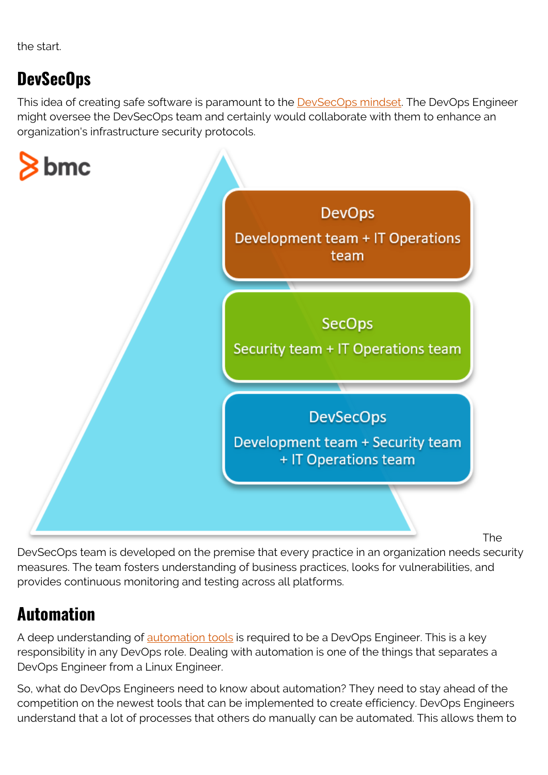the start.

#### **DevSecOps**

This idea of creating safe software is paramount to the **[DevSecOps mindset](https://blogs.bmc.com/blogs/what-is-devsecops-devsecops-explained/)**. The DevOps Engineer might oversee the DevSecOps team and certainly would collaborate with them to enhance an organization's infrastructure security protocols.



The

DevSecOps team is developed on the premise that every practice in an organization needs security measures. The team fosters understanding of business practices, looks for vulnerabilities, and provides continuous monitoring and testing across all platforms.

#### **Automation**

A deep understanding of [automation tools](https://blogs.bmc.com/blogs/it-orchestration-vs-automation-whats-the-difference/) is required to be a DevOps Engineer. This is a key responsibility in any DevOps role. Dealing with automation is one of the things that separates a DevOps Engineer from a Linux Engineer.

So, what do DevOps Engineers need to know about automation? They need to stay ahead of the competition on the newest tools that can be implemented to create efficiency. DevOps Engineers understand that a lot of processes that others do manually can be automated. This allows them to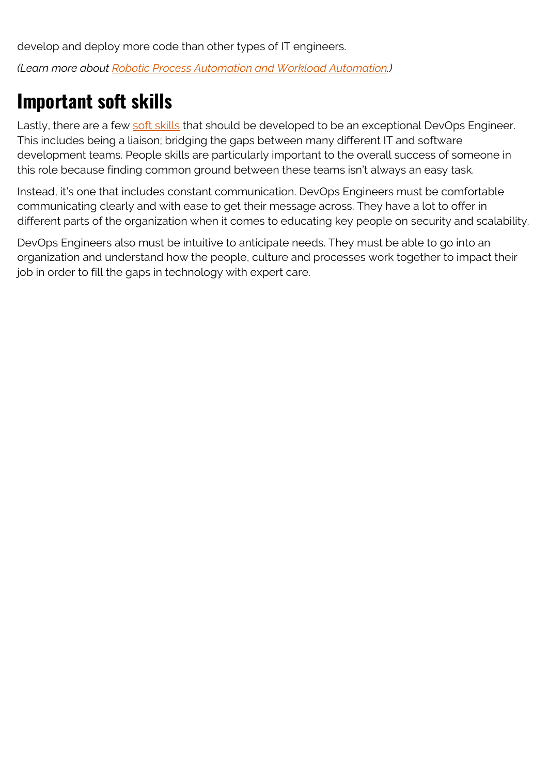develop and deploy more code than other types of IT engineers. *(Learn more about [Robotic Process Automation and Workload Automation.](https://blogs.bmc.com/blogs/workload-automation-vs-robotic-process-automation/))*

## **Important soft skills**

Lastly, there are a few [soft skills](https://blogs.bmc.com/blogs/soft-skills/) that should be developed to be an exceptional DevOps Engineer. This includes being a liaison; bridging the gaps between many different IT and software development teams. People skills are particularly important to the overall success of someone in this role because finding common ground between these teams isn't always an easy task.

Instead, it's one that includes constant communication. DevOps Engineers must be comfortable communicating clearly and with ease to get their message across. They have a lot to offer in different parts of the organization when it comes to educating key people on security and scalability.

DevOps Engineers also must be intuitive to anticipate needs. They must be able to go into an organization and understand how the people, culture and processes work together to impact their job in order to fill the gaps in technology with expert care.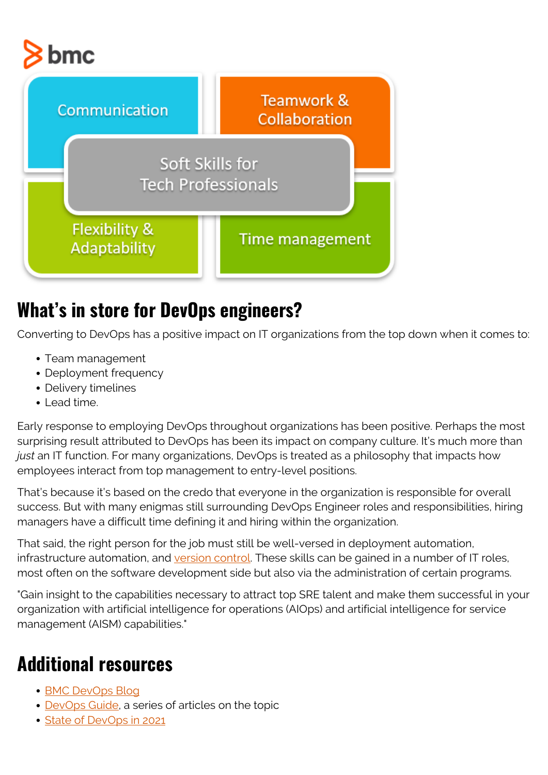



#### **What's in store for DevOps engineers?**

Converting to DevOps has a positive impact on IT organizations from the top down when it comes to:

- Team management
- Deployment frequency
- Delivery timelines
- Lead time.

Early response to employing DevOps throughout organizations has been positive. Perhaps the most surprising result attributed to DevOps has been its impact on company culture. It's much more than *just* an IT function. For many organizations, DevOps is treated as a philosophy that impacts how employees interact from top management to entry-level positions.

That's because it's based on the credo that everyone in the organization is responsible for overall success. But with many enigmas still surrounding DevOps Engineer roles and responsibilities, hiring managers have a difficult time defining it and hiring within the organization.

That said, the right person for the job must still be well-versed in deployment automation, infrastructure automation, and [version control.](https://blogs.bmc.com/blogs/devops-source-version-control/) These skills can be gained in a number of IT roles, most often on the software development side but also via the administration of certain programs.

"Gain insight to the capabilities necessary to attract top SRE talent and make them successful in your organization with artificial intelligence for operations (AIOps) and artificial intelligence for service management (AISM) capabilities."

# **Additional resources**

- [BMC DevOps Blog](https://blogs.bmc.com/blogs/categories/devops/)
- [DevOps Guide,](https://blogs.bmc.com/blogs/devops-basics-introduction/) a series of articles on the topic
- [State of DevOps in 2021](https://blogs.bmc.com/blogs/state-of-devops/)